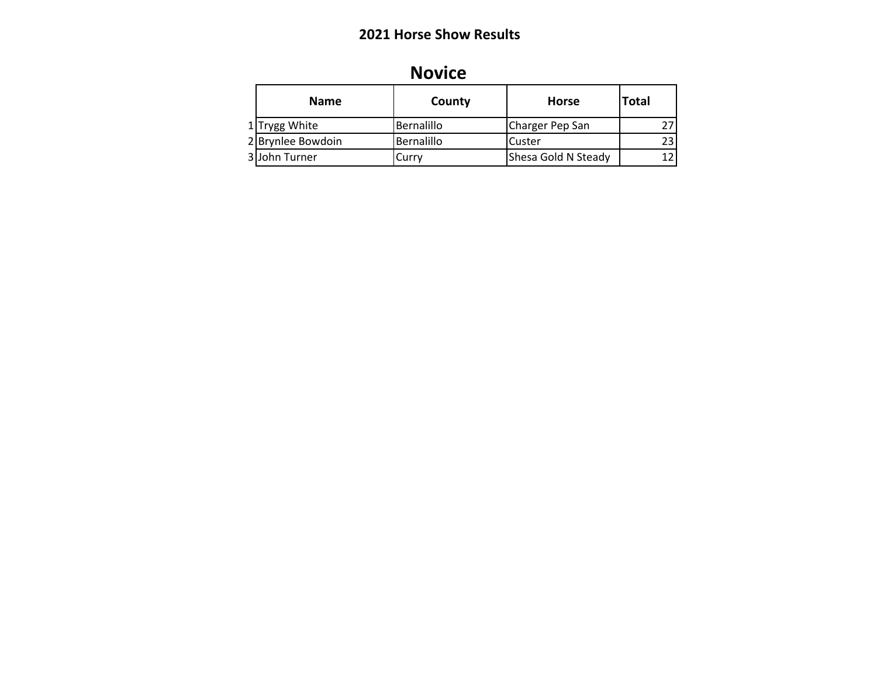| <b>Novice</b> |  |
|---------------|--|
|               |  |
|               |  |

| <b>Name</b>       | County     | Horse               | <b>Total</b> |
|-------------------|------------|---------------------|--------------|
| 1 Trygg White     | Bernalillo | Charger Pep San     | 27           |
| 2 Brynlee Bowdoin | Bernalillo | Custer              | 23           |
| 3 John Turner     | Currv      | Shesa Gold N Steady | 12           |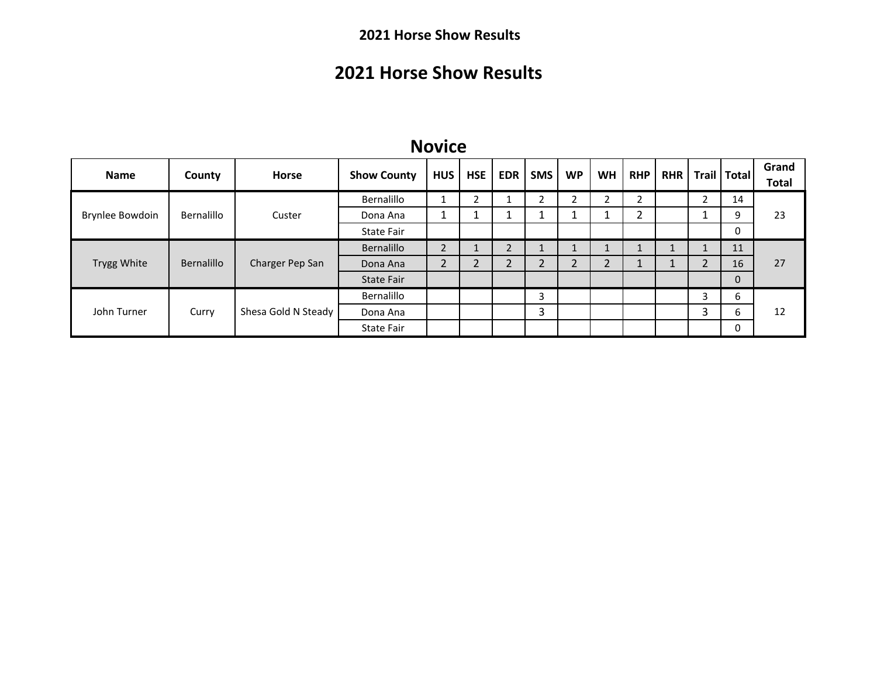# **2021 Horse Show Results**

#### **Novice**

| <b>Name</b>        | County     | <b>Horse</b>                 | <b>Show County</b> | <b>HUS</b>     | <b>HSE</b> | <b>EDR</b>       | <b>SMS</b>         | <b>WP</b> | <b>WH</b>      | <b>RHP</b>       |        | RHR   Trail   Total | Grand<br><b>Total</b> |
|--------------------|------------|------------------------------|--------------------|----------------|------------|------------------|--------------------|-----------|----------------|------------------|--------|---------------------|-----------------------|
|                    |            |                              | Bernalillo         |                |            |                  | C.                 |           |                | ำ<br>∠           | ำ<br>∠ | 14                  |                       |
| Brynlee Bowdoin    | Bernalillo | Custer                       | Dona Ana           |                |            |                  |                    |           |                | C.<br>$\epsilon$ |        | 9                   | 23                    |
|                    |            |                              | State Fair         |                |            |                  |                    |           |                |                  |        | 0                   |                       |
|                    |            |                              | Bernalillo         | $\overline{2}$ |            | 2                |                    |           | $\overline{ }$ |                  |        | 11                  |                       |
| <b>Trygg White</b> | Bernalillo | Charger Pep San              | Dona Ana           | $\overline{2}$ |            | ົາ<br>$\epsilon$ | C.<br>$\mathbf{r}$ |           | 2              | ┻                | ำ      | 16                  | 27                    |
|                    |            |                              | <b>State Fair</b>  |                |            |                  |                    |           |                |                  |        | $\mathbf{0}$        |                       |
|                    |            | Shesa Gold N Steady<br>Curry | Bernalillo         |                |            |                  | 3                  |           |                |                  | 3      | 6                   |                       |
| John Turner        |            |                              | Dona Ana           |                |            |                  | 3                  |           |                |                  | 3      | 6                   | 12                    |
|                    |            |                              | <b>State Fair</b>  |                |            |                  |                    |           |                |                  |        | 0                   |                       |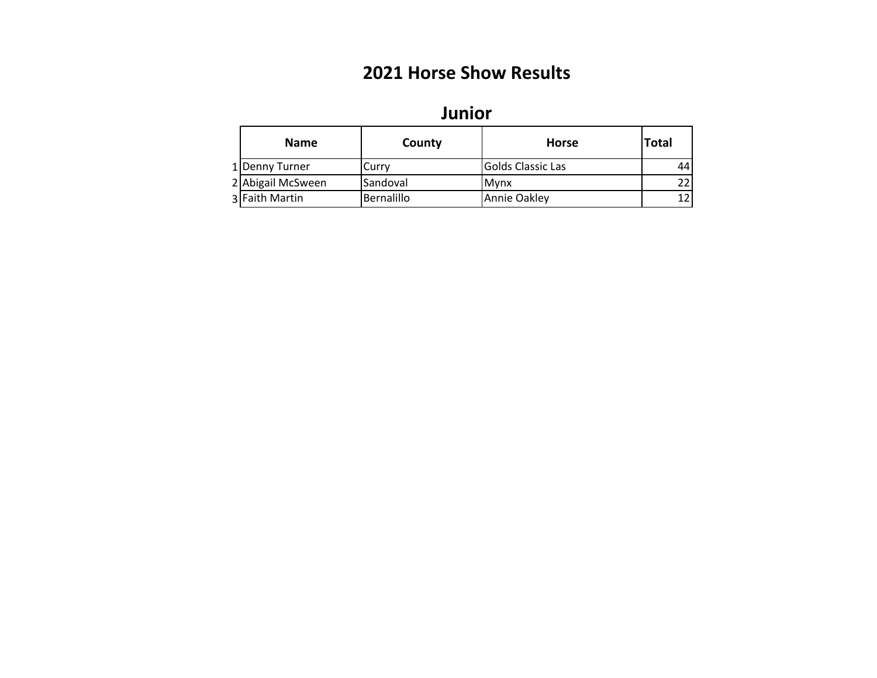| JUIIUI            |            |                          |              |  |  |  |  |  |  |  |  |
|-------------------|------------|--------------------------|--------------|--|--|--|--|--|--|--|--|
| <b>Name</b>       | County     | <b>Horse</b>             | <b>Total</b> |  |  |  |  |  |  |  |  |
| 1 Denny Turner    | Curry      | <b>Golds Classic Las</b> | 44'          |  |  |  |  |  |  |  |  |
| 2 Abigail McSween | Sandoval   | <b>M</b> vnx             | 22           |  |  |  |  |  |  |  |  |
| 3 Faith Martin    | Bernalillo | Annie Oakley             |              |  |  |  |  |  |  |  |  |

## **Junior**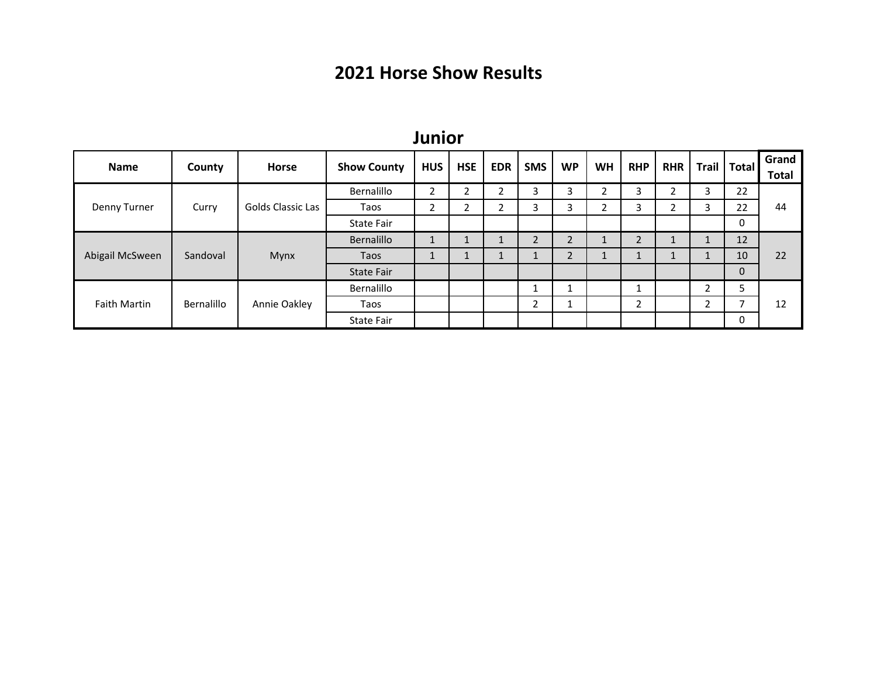| <b>Name</b>         | County     | <b>Horse</b>      | <b>Show County</b> | <b>HUS</b>   | <b>HSE</b> | <b>EDR</b> | <b>SMS</b> | <b>WP</b>      | <b>WH</b> | <b>RHP</b> | <b>RHR</b> | <b>Trail</b> | <b>Total</b> | Grand<br><b>Total</b> |
|---------------------|------------|-------------------|--------------------|--------------|------------|------------|------------|----------------|-----------|------------|------------|--------------|--------------|-----------------------|
|                     |            |                   | Bernalillo         | 2            | C.<br>∠    | ∍<br>∠     | 3          | 3              | C.<br>∠   | 3          | ┑          | 3            | 22           | 44                    |
| Denny Turner        | Curry      | Golds Classic Las | Taos               | 2            | C.<br>∠    | ำ<br>∠     | 3          | 3              | C.<br>ے   | 3          | h          | 3            | 22           |                       |
|                     |            |                   | <b>State Fair</b>  |              |            |            |            |                |           |            |            |              | 0            |                       |
|                     |            | Mynx<br>Sandoval  | Bernalillo         | $\mathbf{1}$ |            | Ŧ.         | ∍          | $\overline{2}$ | ┻         | C<br>∠     |            | ┻            | 12           | 22                    |
| Abigail McSween     |            |                   | Taos               | <b>T</b>     | ш.         | Ŧ.         |            | $\overline{2}$ | ш.        | ┻          |            | л.           | 10           |                       |
|                     |            |                   | <b>State Fair</b>  |              |            |            |            |                |           |            |            |              | 0            |                       |
|                     |            |                   | Bernalillo         |              |            |            |            |                |           |            |            | ຳ<br>∠       | 5            |                       |
| <b>Faith Martin</b> | Bernalillo | Annie Oakley      | Taos               |              |            |            | ำ<br>∠     | ᅩ              |           | ຳ<br>∠     |            | 2            |              | 12                    |
|                     |            |                   | <b>State Fair</b>  |              |            |            |            |                |           |            |            |              | 0            |                       |

#### **Junior**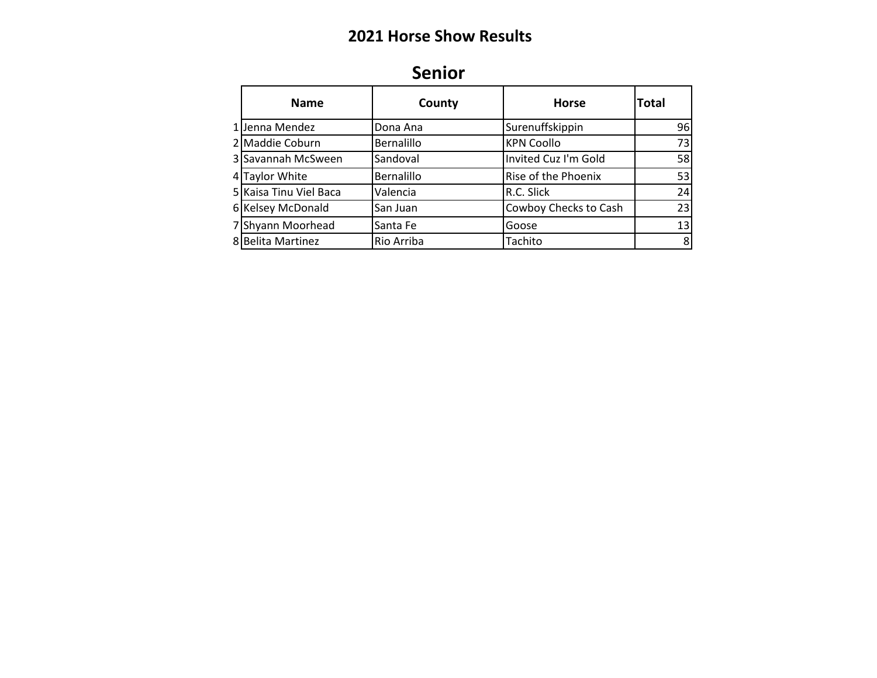| <b>Name</b>            | County            | <b>Horse</b>          | <b>Total</b> |
|------------------------|-------------------|-----------------------|--------------|
| 1 Jenna Mendez         | Dona Ana          | Surenuffskippin       | 96           |
| 2 Maddie Coburn        | Bernalillo        | <b>KPN Coollo</b>     | 73           |
| 3 Savannah McSween     | Sandoval          | Invited Cuz I'm Gold  | 58           |
| 4 Taylor White         | <b>Bernalillo</b> | Rise of the Phoenix   | 53           |
| 5 Kaisa Tinu Viel Baca | Valencia          | R.C. Slick            | 24           |
| 6 Kelsey McDonald      | San Juan          | Cowboy Checks to Cash | 23           |
| 7 Shyann Moorhead      | Santa Fe          | Goose                 | 13           |
| 8 Belita Martinez      | Rio Arriba        | Tachito               | 8            |

# **Senior**